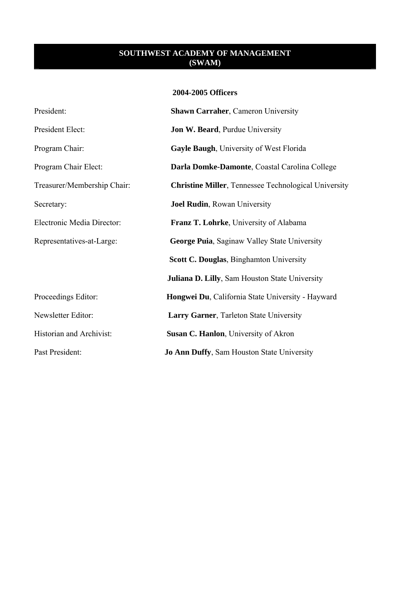### **2004-2005 Officers**

| President:                  | <b>Shawn Carraher, Cameron University</b>                   |
|-----------------------------|-------------------------------------------------------------|
| President Elect:            | Jon W. Beard, Purdue University                             |
| Program Chair:              | <b>Gayle Baugh, University of West Florida</b>              |
| Program Chair Elect:        | Darla Domke-Damonte, Coastal Carolina College               |
| Treasurer/Membership Chair: | <b>Christine Miller, Tennessee Technological University</b> |
| Secretary:                  | <b>Joel Rudin, Rowan University</b>                         |
| Electronic Media Director:  | Franz T. Lohrke, University of Alabama                      |
| Representatives-at-Large:   | <b>George Puia, Saginaw Valley State University</b>         |
|                             | Scott C. Douglas, Binghamton University                     |
|                             | <b>Juliana D. Lilly, Sam Houston State University</b>       |
| Proceedings Editor:         | Hongwei Du, California State University - Hayward           |
| Newsletter Editor:          | <b>Larry Garner, Tarleton State University</b>              |
| Historian and Archivist:    | Susan C. Hanlon, University of Akron                        |
| Past President:             | <b>Jo Ann Duffy, Sam Houston State University</b>           |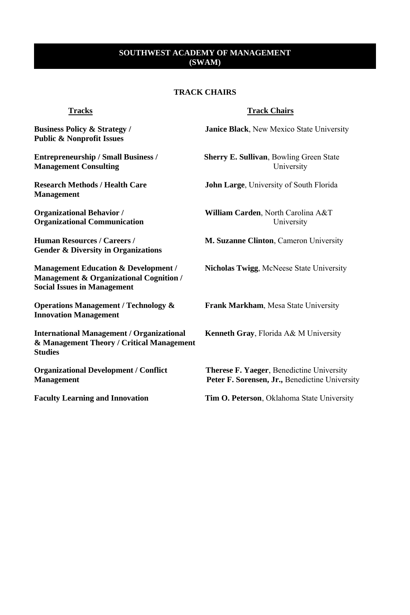# **TRACK CHAIRS**

**Public & Nonprofit Issues** 

**Management Consulting Consulting Example 3 Example 3 Example 3 Example 3 Example 4 Example 4 Example 4 Example 4 Example 4 Example 4 Example 4 Example 4 Example 4 Example 4 Example 4 Exa** 

**Management** 

**Organizational Communication** University

**Gender & Diversity in Organizations** 

**Management Education & Development / Nicholas Twigg**, McNeese State University **Management & Organizational Cognition / Social Issues in Management** 

**Operations Management / Technology & Frank Markham**, Mesa State University **Innovation Management** 

**International Management / Organizational Kenneth Gray, Florida A& M University & Management Theory / Critical Management Studies** 

### **Tracks Track Chairs**

**Business Policy & Strategy / Janice Black**, New Mexico State University

**Entrepreneurship / Small Business / Sherry E. Sullivan**, Bowling Green State

**Research Methods / Health Care John Large**, University of South Florida

**Organizational Behavior / William Carden**, North Carolina A&T

**Human Resources / Careers / M. Suzanne Clinton**, Cameron University

**Organizational Development / Conflict Therese F. Yaeger**, Benedictine University **Management Peter F. Sorensen, Jr., Benedictine University** 

**Faculty Learning and Innovation Tim O. Peterson**, Oklahoma State University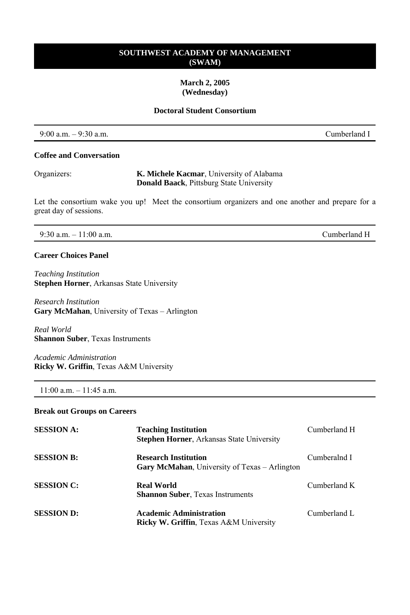### **March 2, 2005 (Wednesday)**

# **Doctoral Student Consortium**

| $9:00$ a.m. $-9:30$ a.m. | ∴umberland 1 |
|--------------------------|--------------|
|                          |              |

### **Coffee and Conversation**

| Organizers: | K. Michele Kacmar, University of Alabama        |
|-------------|-------------------------------------------------|
|             | <b>Donald Baack, Pittsburg State University</b> |

Let the consortium wake you up! Meet the consortium organizers and one another and prepare for a great day of sessions.

### 9:30 a.m. – 11:00 a.m. Cumberland H

# **Career Choices Panel**

*Teaching Institution*  **Stephen Horner**, Arkansas State University

*Research Institution*  **Gary McMahan**, University of Texas – Arlington

*Real World*  **Shannon Suber**, Texas Instruments

*Academic Administration*  **Ricky W. Griffin**, Texas A&M University

# 11:00 a.m. – 11:45 a.m.

#### **Break out Groups on Careers**

| <b>SESSION A:</b> | <b>Teaching Institution</b><br>Stephen Horner, Arkansas State University             | Cumberland H |
|-------------------|--------------------------------------------------------------------------------------|--------------|
| <b>SESSION B:</b> | <b>Research Institution</b><br><b>Gary McMahan</b> , University of Texas – Arlington | Cumberalnd I |
| <b>SESSION C:</b> | <b>Real World</b><br><b>Shannon Suber, Texas Instruments</b>                         | Cumberland K |
| <b>SESSION D:</b> | <b>Academic Administration</b><br><b>Ricky W. Griffin, Texas A&amp;M University</b>  | Cumberland L |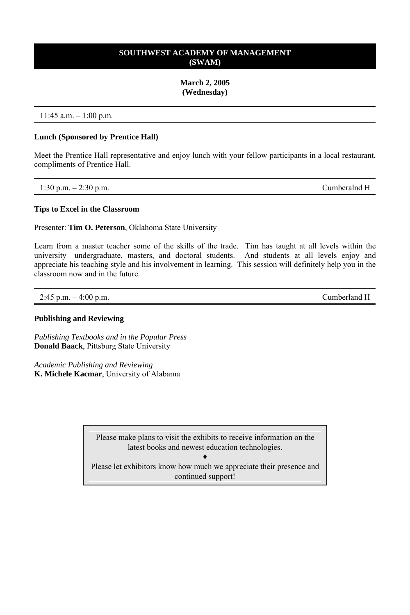### **March 2, 2005 (Wednesday)**

### 11:45 a.m. – 1:00 p.m.

### **Lunch (Sponsored by Prentice Hall)**

Meet the Prentice Hall representative and enjoy lunch with your fellow participants in a local restaurant, compliments of Prentice Hall.

| 1:30 p.m. $-2:30$ p.m. | Cumberalnd H |
|------------------------|--------------|
|------------------------|--------------|

### **Tips to Excel in the Classroom**

Presenter: **Tim O. Peterson**, Oklahoma State University

Learn from a master teacher some of the skills of the trade. Tim has taught at all levels within the university—undergraduate, masters, and doctoral students. And students at all levels enjoy and appreciate his teaching style and his involvement in learning. This session will definitely help you in the classroom now and in the future.

2:45 p.m. – 4:00 p.m. Cumberland H

### **Publishing and Reviewing**

*Publishing Textbooks and in the Popular Press* **Donald Baack**, Pittsburg State University

*Academic Publishing and Reviewing*  **K. Michele Kacmar**, University of Alabama

> Please make plans to visit the exhibits to receive information on the latest books and newest education technologies.

♦ Please let exhibitors know how much we appreciate their presence and continued support!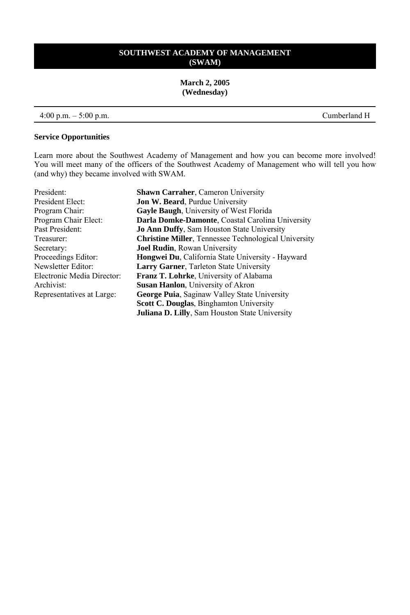**March 2, 2005 (Wednesday)** 

### 4:00 p.m. – 5:00 p.m. Cumberland H

### **Service Opportunities**

Learn more about the Southwest Academy of Management and how you can become more involved! You will meet many of the officers of the Southwest Academy of Management who will tell you how (and why) they became involved with SWAM.

| President:                 | <b>Shawn Carraher, Cameron University</b>                   |
|----------------------------|-------------------------------------------------------------|
| President Elect:           | <b>Jon W. Beard, Purdue University</b>                      |
| Program Chair:             | <b>Gayle Baugh, University of West Florida</b>              |
| Program Chair Elect:       | Darla Domke-Damonte, Coastal Carolina University            |
| Past President:            | <b>Jo Ann Duffy, Sam Houston State University</b>           |
| Treasurer:                 | <b>Christine Miller, Tennessee Technological University</b> |
| Secretary:                 | <b>Joel Rudin</b> , Rowan University                        |
| Proceedings Editor:        | Hongwei Du, California State University - Hayward           |
| Newsletter Editor:         | <b>Larry Garner, Tarleton State University</b>              |
| Electronic Media Director: | <b>Franz T. Lohrke</b> , University of Alabama              |
| Archivist:                 | <b>Susan Hanlon</b> , University of Akron                   |
| Representatives at Large:  | <b>George Puia, Saginaw Valley State University</b>         |
|                            | <b>Scott C. Douglas, Binghamton University</b>              |
|                            | <b>Juliana D. Lilly, Sam Houston State University</b>       |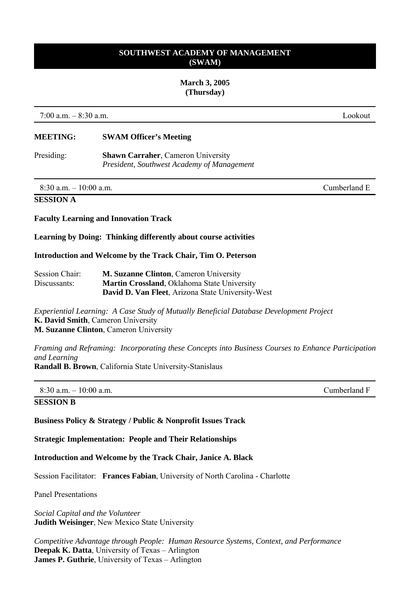#### **March 3, 2005 (Thursday)**

7:00 a.m. – 8:30 a.m. Lookout

# **MEETING: SWAM Officer's Meeting**

Presiding: **Shawn Carraher**, Cameron University *President, Southwest Academy of Management* 

8:30 a.m. – 10:00 a.m. Cumberland E

### **SESSION A**

**Faculty Learning and Innovation Track** 

### **Learning by Doing: Thinking differently about course activities**

**Introduction and Welcome by the Track Chair, Tim O. Peterson**

| Session Chair: | <b>M. Suzanne Clinton</b> , Cameron University      |
|----------------|-----------------------------------------------------|
| Discussants:   | <b>Martin Crossland</b> , Oklahoma State University |
|                | David D. Van Fleet, Arizona State University-West   |

*Experiential Learning: A Case Study of Mutually Beneficial Database Development Project* **K. David Smith**, Cameron University **M. Suzanne Clinton**, Cameron University

*Framing and Reframing: Incorporating these Concepts into Business Courses to Enhance Participation and Learning*

**Randall B. Brown**, California State University-Stanislaus

| $8:30$ a.m. $-10:00$ a.m. | Cumberland F |
|---------------------------|--------------|
| <b>SESSION B</b>          |              |

**Business Policy & Strategy / Public & Nonprofit Issues Track** 

**Strategic Implementation: People and Their Relationships** 

**Introduction and Welcome by the Track Chair, Janice A. Black** 

Session Facilitator: **Frances Fabian**, University of North Carolina - Charlotte

Panel Presentations

*Social Capital and the Volunteer*  **Judith Weisinger**, New Mexico State University

*Competitive Advantage through People: Human Resource Systems, Context, and Performance*  **Deepak K. Datta**, University of Texas – Arlington **James P. Guthrie**, University of Texas – Arlington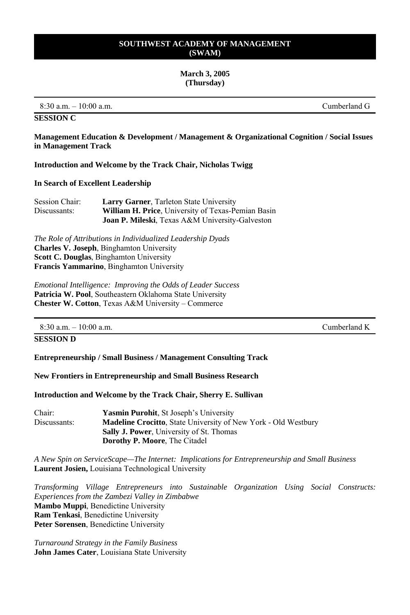# **March 3, 2005 (Thursday)**

8:30 a.m. – 10:00 a.m. Cumberland G

# **SESSION C**

**Management Education & Development / Management & Organizational Cognition / Social Issues in Management Track** 

**Introduction and Welcome by the Track Chair, Nicholas Twigg** 

### **In Search of Excellent Leadership**

| Session Chair: | <b>Larry Garner, Tarleton State University</b>             |
|----------------|------------------------------------------------------------|
| Discussants:   | <b>William H. Price</b> , University of Texas-Pemian Basin |
|                | <b>Joan P. Mileski</b> , Texas A&M University-Galveston    |

*The Role of Attributions in Individualized Leadership Dyads* **Charles V. Joseph**, Binghamton University **Scott C. Douglas**, Binghamton University **Francis Yammarino**, Binghamton University

*Emotional Intelligence: Improving the Odds of Leader Success* **Patricia W. Pool**, Southeastern Oklahoma State University **Chester W. Cotton**, Texas A&M University – Commerce

 $8:30$  a.m.  $-10:00$  a.m.

# **SESSION D**

**Entrepreneurship / Small Business / Management Consulting Track** 

**New Frontiers in Entrepreneurship and Small Business Research** 

**Introduction and Welcome by the Track Chair, Sherry E. Sullivan** 

| Chair:       | <b>Yasmin Purohit, St Joseph's University</b>                         |
|--------------|-----------------------------------------------------------------------|
| Discussants: | <b>Madeline Crocitto, State University of New York - Old Westbury</b> |
|              | <b>Sally J. Power</b> , University of St. Thomas                      |
|              | <b>Dorothy P. Moore</b> , The Citadel                                 |

*A New Spin on ServiceScape—The Internet: Implications for Entrepreneurship and Small Business* **Laurent Josien,** Louisiana Technological University

*Transforming Village Entrepreneurs into Sustainable Organization Using Social Constructs: Experiences from the Zambezi Valley in Zimbabwe*  **Mambo Muppi**, Benedictine University **Ram Tenkasi**, Benedictine University **Peter Sorensen**, Benedictine University

*Turnaround Strategy in the Family Business* **John James Cater**, Louisiana State University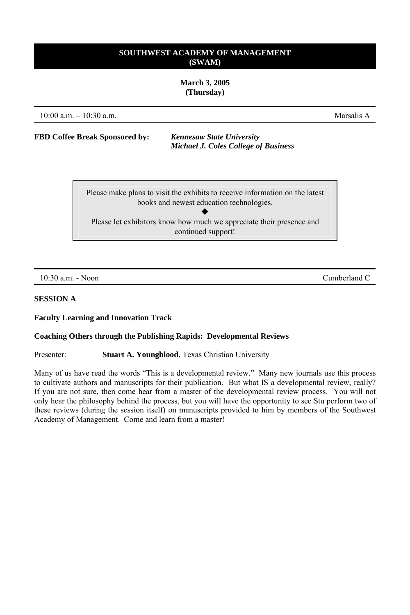**March 3, 2005 (Thursday)** 

10:00 a.m. – 10:30 a.m.

**FBD Coffee Break Sponsored by:** *Kennesaw State University Michael J. Coles College of Business*

> Please make plans to visit the exhibits to receive information on the latest books and newest education technologies.  $\blacklozenge$ Please let exhibitors know how much we appreciate their presence and continued support!

10:30 a.m. - Noon Cumberland C

# **SESSION A**

### **Faculty Learning and Innovation Track**

### **Coaching Others through the Publishing Rapids: Developmental Reviews**

Presenter: **Stuart A. Youngblood**, Texas Christian University

Many of us have read the words "This is a developmental review." Many new journals use this process to cultivate authors and manuscripts for their publication. But what IS a developmental review, really? If you are not sure, then come hear from a master of the developmental review process. You will not only hear the philosophy behind the process, but you will have the opportunity to see Stu perform two of these reviews (during the session itself) on manuscripts provided to him by members of the Southwest Academy of Management. Come and learn from a master!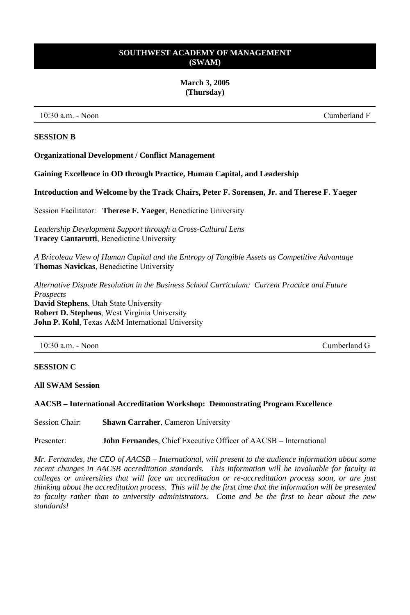#### **March 3, 2005 (Thursday)**

10:30 a.m. - Noon Cumberland F

### **SESSION B**

**Organizational Development / Conflict Management** 

**Gaining Excellence in OD through Practice, Human Capital, and Leadership** 

**Introduction and Welcome by the Track Chairs, Peter F. Sorensen, Jr. and Therese F. Yaeger** 

Session Facilitator: **Therese F. Yaeger**, Benedictine University

*Leadership Development Support through a Cross-Cultural Lens* **Tracey Cantarutti**, Benedictine University

*A Bricoleau View of Human Capital and the Entropy of Tangible Assets as Competitive Advantage*  **Thomas Navickas**, Benedictine University

*Alternative Dispute Resolution in the Business School Curriculum: Current Practice and Future Prospects* 

**David Stephens**, Utah State University **Robert D. Stephens**, West Virginia University **John P. Kohl**, Texas A&M International University

10:30 a.m. - Noon Cumberland G

### **SESSION C**

**All SWAM Session** 

# **AACSB – International Accreditation Workshop: Demonstrating Program Excellence**

Session Chair: **Shawn Carraher**, Cameron University

Presenter: **John Fernandes**, Chief Executive Officer of AACSB – International

*Mr. Fernandes, the CEO of AACSB – International, will present to the audience information about some recent changes in AACSB accreditation standards. This information will be invaluable for faculty in colleges or universities that will face an accreditation or re-accreditation process soon, or are just thinking about the accreditation process. This will be the first time that the information will be presented to faculty rather than to university administrators. Come and be the first to hear about the new standards!*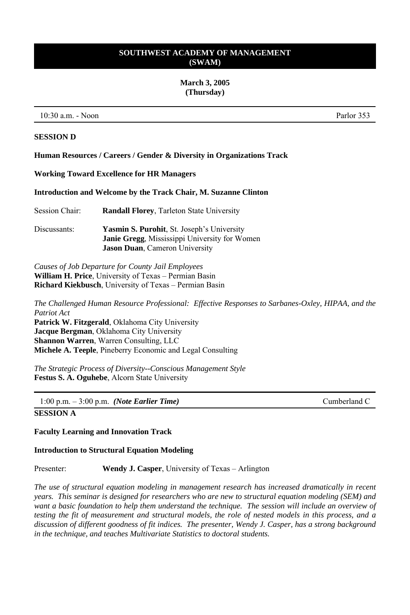#### **March 3, 2005 (Thursday)**

10:30 a.m. - Noon Parlor 353

### **SESSION D**

**Human Resources / Careers / Gender & Diversity in Organizations Track** 

**Working Toward Excellence for HR Managers** 

**Introduction and Welcome by the Track Chair, M. Suzanne Clinton** 

| Session Chair: | <b>Randall Florey, Tarleton State University</b>                                                          |
|----------------|-----------------------------------------------------------------------------------------------------------|
| Discussants:   | <b>Yasmin S. Purohit, St. Joseph's University</b><br><b>Janie Gregg, Mississippi University for Women</b> |
|                | <b>Jason Duan, Cameron University</b>                                                                     |

*Causes of Job Departure for County Jail Employees*  **William H. Price**, University of Texas – Permian Basin **Richard Kiekbusch**, University of Texas – Permian Basin

*The Challenged Human Resource Professional: Effective Responses to Sarbanes-Oxley, HIPAA, and the Patriot Act*  **Patrick W. Fitzgerald**, Oklahoma City University **Jacque Bergman**, Oklahoma City University **Shannon Warren**, Warren Consulting, LLC **Michele A. Teeple**, Pineberry Economic and Legal Consulting

*The Strategic Process of Diversity--Conscious Management Style*  **Festus S. A. Oguhebe**, Alcorn State University

1:00 p.m. – 3:00 p.m. *(Note Earlier Time)* Cumberland C

# **SESSION A**

**Faculty Learning and Innovation Track**

### **Introduction to Structural Equation Modeling**

Presenter: **Wendy J. Casper**, University of Texas – Arlington

*The use of structural equation modeling in management research has increased dramatically in recent years. This seminar is designed for researchers who are new to structural equation modeling (SEM) and want a basic foundation to help them understand the technique. The session will include an overview of testing the fit of measurement and structural models, the role of nested models in this process, and a discussion of different goodness of fit indices. The presenter, Wendy J. Casper, has a strong background in the technique, and teaches Multivariate Statistics to doctoral students.*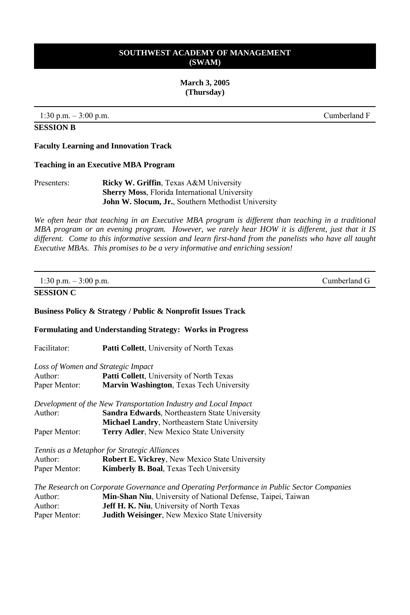**March 3, 2005 (Thursday)** 

1:30 p.m. – 3:00 p.m. Cumberland F

### **SESSION B**

### **Faculty Learning and Innovation Track**

#### **Teaching in an Executive MBA Program**

| Presenters: | <b>Ricky W. Griffin, Texas A&amp;M University</b>          |
|-------------|------------------------------------------------------------|
|             | <b>Sherry Moss</b> , Florida International University      |
|             | <b>John W. Slocum, Jr.</b> , Southern Methodist University |

*We often hear that teaching in an Executive MBA program is different than teaching in a traditional MBA program or an evening program. However, we rarely hear HOW it is different, just that it IS different. Come to this informative session and learn first-hand from the panelists who have all taught Executive MBAs. This promises to be a very informative and enriching session!* 

| 1:30 p.m. $-3:00$ p.m.                                         |                                                                                                                                                                                                                                                                | Cumberland G |
|----------------------------------------------------------------|----------------------------------------------------------------------------------------------------------------------------------------------------------------------------------------------------------------------------------------------------------------|--------------|
| <b>SESSION C</b>                                               |                                                                                                                                                                                                                                                                |              |
|                                                                | Business Policy & Strategy / Public & Nonprofit Issues Track                                                                                                                                                                                                   |              |
|                                                                | <b>Formulating and Understanding Strategy: Works in Progress</b>                                                                                                                                                                                               |              |
| Facilitator:                                                   | Patti Collett, University of North Texas                                                                                                                                                                                                                       |              |
| Loss of Women and Strategic Impact<br>Author:<br>Paper Mentor: | <b>Patti Collett</b> , University of North Texas<br>Marvin Washington, Texas Tech University                                                                                                                                                                   |              |
| Author:                                                        | Development of the New Transportation Industry and Local Impact<br>Sandra Edwards, Northeastern State University<br><b>Michael Landry, Northeastern State University</b>                                                                                       |              |
| Paper Mentor:                                                  | Terry Adler, New Mexico State University                                                                                                                                                                                                                       |              |
| Author:<br>Paper Mentor:                                       | Tennis as a Metaphor for Strategic Alliances<br><b>Robert E. Vickrey, New Mexico State University</b><br>Kimberly B. Boal, Texas Tech University                                                                                                               |              |
| Author:<br>Author:<br>Paper Mentor:                            | The Research on Corporate Governance and Operating Performance in Public Sector Companies<br>Min-Shan Niu, University of National Defense, Taipei, Taiwan<br>Jeff H. K. Niu, University of North Texas<br><b>Judith Weisinger, New Mexico State University</b> |              |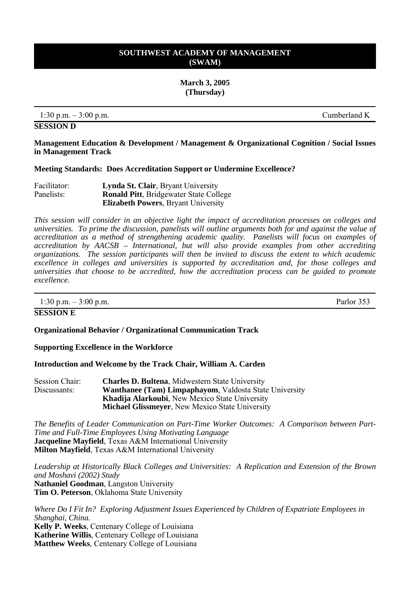**March 3, 2005 (Thursday)**

1:30 p.m. – 3:00 p.m. Cumberland K

**SESSION D** 

**Management Education & Development / Management & Organizational Cognition / Social Issues in Management Track** 

### **Meeting Standards: Does Accreditation Support or Undermine Excellence?**

| Facilitator: | <b>Lynda St. Clair</b> , Bryant University     |  |
|--------------|------------------------------------------------|--|
| Panelists:   | <b>Ronald Pitt</b> , Bridgewater State College |  |
|              | <b>Elizabeth Powers, Bryant University</b>     |  |

*This session will consider in an objective light the impact of accreditation processes on colleges and universities. To prime the discussion, panelists will outline arguments both for and against the value of accreditation as a method of strengthening academic quality. Panelists will focus on examples of accreditation by AACSB – International, but will also provide examples from other accrediting organizations. The session participants will then be invited to discuss the extent to which academic excellence in colleges and universities is supported by accreditation and, for those colleges and universities that choose to be accredited, how the accreditation process can be guided to promote excellence.* 

 $1:30 \text{ p.m.} - 3:00 \text{ p.m.}$  Parlor 353

#### **SESSION E**

### **Organizational Behavior / Organizational Communication Track**

**Supporting Excellence in the Workforce** 

**Introduction and Welcome by the Track Chair, William A. Carden** 

| Session Chair:                                                                | <b>Charles D. Bultena, Midwestern State University</b>  |
|-------------------------------------------------------------------------------|---------------------------------------------------------|
| <b>Wanthanee (Tam) Limpaphayom, Valdosta State University</b><br>Discussants: |                                                         |
|                                                                               | <b>Khadija Alarkoubi</b> , New Mexico State University  |
|                                                                               | <b>Michael Glissmever</b> , New Mexico State University |

*The Benefits of Leader Communication on Part-Time Worker Outcomes: A Comparison between Part-Time and Full-Time Employees Using Motivating Language*  **Jacqueline Mayfield**, Texas A&M International University **Milton Mayfield**, Texas A&M International University

*Leadership at Historically Black Colleges and Universities: A Replication and Extension of the Brown and Moshavi (2002) Study* **Nathaniel Goodman**, Langston University **Tim O. Peterson**, Oklahoma State University

*Where Do I Fit In? Exploring Adjustment Issues Experienced by Children of Expatriate Employees in Shanghai, China.* **Kelly P. Weeks**, Centenary College of Louisiana **Katherine Willis**, Centenary College of Louisiana **Matthew Weeks**, Centenary College of Louisiana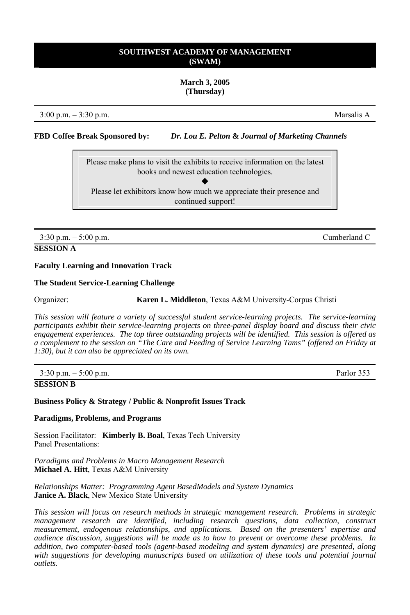#### **March 3, 2005 (Thursday)**

3:00 p.m. – 3:30 p.m. Marsalis A

**FBD Coffee Break Sponsored by:** *Dr. Lou E. Pelton* **&** *Journal of Marketing Channels*

Please make plans to visit the exhibits to receive information on the latest books and newest education technologies.  $\blacklozenge$ Please let exhibitors know how much we appreciate their presence and continued support!

3:30 p.m. – 5:00 p.m. Cumberland C

# **SESSION A**

### **Faculty Learning and Innovation Track**

### **The Student Service-Learning Challenge**

Organizer: **Karen L. Middleton**, Texas A&M University-Corpus Christi

*This session will feature a variety of successful student service-learning projects. The service-learning participants exhibit their service-learning projects on three-panel display board and discuss their civic engagement experiences. The top three outstanding projects will be identified. This session is offered as a complement to the session on "The Care and Feeding of Service Learning Tams" (offered on Friday at 1:30), but it can also be appreciated on its own.*

| $3:30 \text{ p.m.} - 5:00 \text{ p.m.}$ | Parlor 353 |
|-----------------------------------------|------------|
| <b>SESSION B</b>                        |            |

**Business Policy & Strategy / Public & Nonprofit Issues Track** 

**Paradigms, Problems, and Programs** 

Session Facilitator: **Kimberly B. Boal**, Texas Tech University Panel Presentations:

*Paradigms and Problems in Macro Management Research* **Michael A. Hitt**, Texas A&M University

*Relationships Matter: Programming Agent BasedModels and System Dynamics* **Janice A. Black**, New Mexico State University

*This session will focus on research methods in strategic management research. Problems in strategic management research are identified, including research questions, data collection, construct measurement, endogenous relationships, and applications. Based on the presenters' expertise and audience discussion, suggestions will be made as to how to prevent or overcome these problems. In addition, two computer-based tools (agent-based modeling and system dynamics) are presented, along*  with suggestions for developing manuscripts based on utilization of these tools and potential journal *outlets.*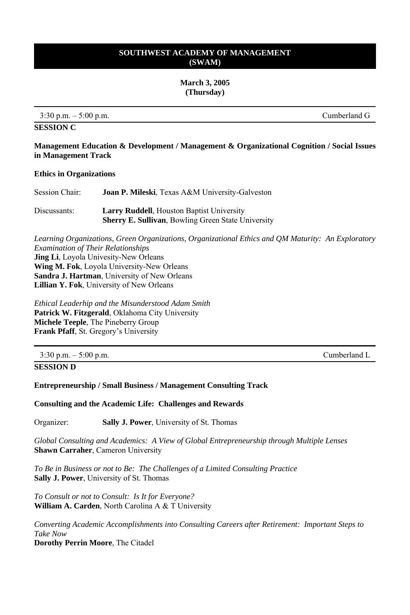**March 3, 2005 (Thursday)** 

 $3:30 \text{ p.m.} - 5:00 \text{ p.m.}$  Cumberland G

**SESSION C** 

**Management Education & Development / Management & Organizational Cognition / Social Issues in Management Track** 

#### **Ethics in Organizations**

| Session Chair: | <b>Joan P. Mileski</b> , Texas A&M University-Galveston                                                         |
|----------------|-----------------------------------------------------------------------------------------------------------------|
| Discussants:   | <b>Larry Ruddell</b> , Houston Baptist University<br><b>Sherry E. Sullivan</b> , Bowling Green State University |

*Learning Organizations, Green Organizations, Organizational Ethics and QM Maturity: An Exploratory Examination of Their Relationships* **Jing Li**, Loyola Univesity-New Orleans **Wing M. Fok**, Loyola University-New Orleans **Sandra J. Hartman**, University of New Orleans **Lillian Y. Fok**, University of New Orleans

*Ethical Leaderhip and the Misunderstood Adam Smith* **Patrick W. Fitzgerald**, Oklahoma City University **Michele Teeple**, The Pineberry Group **Frank Pfaff**, St. Gregory's University

3:30 p.m. – 5:00 p.m. Cumberland L

**SESSION D** 

**Entrepreneurship / Small Business / Management Consulting Track** 

**Consulting and the Academic Life: Challenges and Rewards** 

Organizer: **Sally J. Power**, University of St. Thomas

*Global Consulting and Academics: A View of Global Entrepreneurship through Multiple Lenses*  **Shawn Carraher**, Cameron University

*To Be in Business or not to Be: The Challenges of a Limited Consulting Practice*  **Sally J. Power**, University of St. Thomas

*To Consult or not to Consult: Is It for Everyone?*  **William A. Carden**, North Carolina A & T University

*Converting Academic Accomplishments into Consulting Careers after Retirement: Important Steps to Take Now*

**Dorothy Perrin Moore**, The Citadel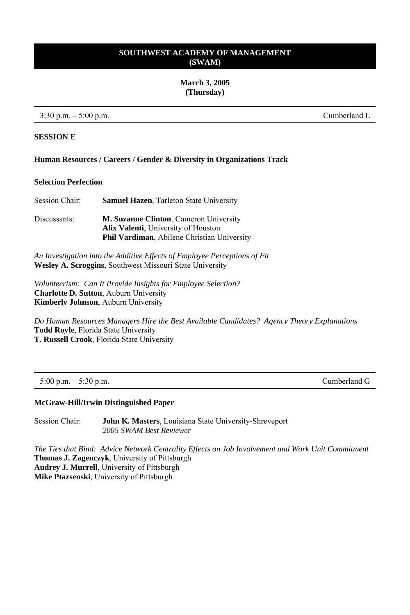**March 3, 2005 (Thursday)** 

3:30 p.m. – 5:00 p.m. Cumberland L

### **SESSION E**

### **Human Resources / Careers / Gender & Diversity in Organizations Track**

# **Selection Perfection**

| Session Chair: | <b>Samuel Hazen, Tarleton State University</b>                                                                                                     |
|----------------|----------------------------------------------------------------------------------------------------------------------------------------------------|
| Discussants:   | <b>M. Suzanne Clinton, Cameron University</b><br><b>Alix Valenti</b> , University of Houston<br><b>Phil Vardiman, Abilene Christian University</b> |

*An Investigation into the Additive Effects of Employee Perceptions of Fit*  **Wesley A. Scroggins**, Southwest Missouri State University

*Volunteerism: Can It Provide Insights for Employee Selection?*  **Charlotte D. Sutton**, Auburn University **Kimberly Johnson**, Auburn University

*Do Human Resources Managers Hire the Best Available Candidates? Agency Theory Explanations*  **Todd Royle**, Florida State University **T. Russell Crook**, Florida State University

5:00 p.m. – 5:30 p.m. Cumberland G

# **McGraw-Hill/Irwin Distinguished Paper**

Session Chair: **John K. Masters**, Louisiana State University-Shreveport *2005 SWAM Best Reviewer*

*The Ties that Bind: Advice Network Centrality Effects on Job Involvement and Work Unit Commitment* **Thomas J. Zagenczyk**, University of Pittsburgh **Audrey J. Murrell**, University of Pittsburgh **Mike Ptazsenski**, University of Pittsburgh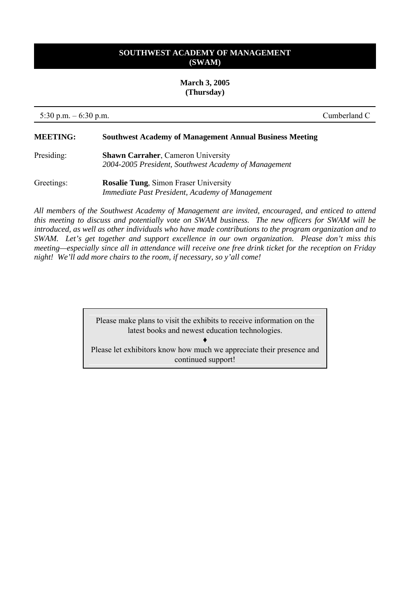**March 3, 2005 (Thursday)**

5:30 p.m. – 6:30 p.m. Cumberland C

### **MEETING: Southwest Academy of Management Annual Business Meeting**

- Presiding: **Shawn Carraher**, Cameron University *2004-2005 President, Southwest Academy of Management*
- Greetings: **Rosalie Tung**, Simon Fraser University *Immediate Past President, Academy of Management*

*All members of the Southwest Academy of Management are invited, encouraged, and enticed to attend this meeting to discuss and potentially vote on SWAM business. The new officers for SWAM will be introduced, as well as other individuals who have made contributions to the program organization and to SWAM. Let's get together and support excellence in our own organization. Please don't miss this meeting—especially since all in attendance will receive one free drink ticket for the reception on Friday night! We'll add more chairs to the room, if necessary, so y'all come!* 

> Please make plans to visit the exhibits to receive information on the latest books and newest education technologies.

♦ Please let exhibitors know how much we appreciate their presence and continued support!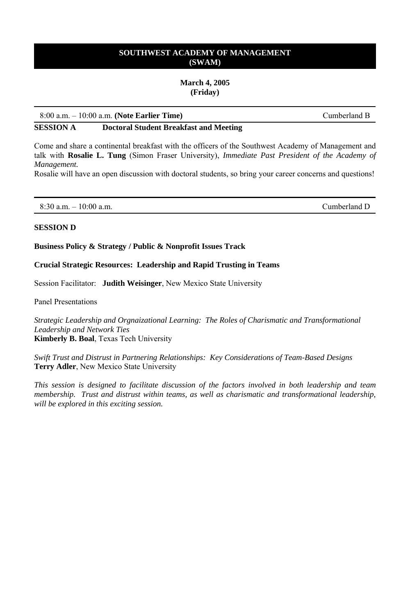### **March 4, 2005 (Friday)**

### 8:00 a.m. – 10:00 a.m. **(Note Earlier Time)** Cumberland B

**SESSION A Doctoral Student Breakfast and Meeting** 

Come and share a continental breakfast with the officers of the Southwest Academy of Management and talk with **Rosalie L. Tung** (Simon Fraser University), *Immediate Past President of the Academy of Management.*

Rosalie will have an open discussion with doctoral students, so bring your career concerns and questions!

8:30 a.m. – 10:00 a.m. Cumberland D

### **SESSION D**

**Business Policy & Strategy / Public & Nonprofit Issues Track** 

### **Crucial Strategic Resources: Leadership and Rapid Trusting in Teams**

Session Facilitator: **Judith Weisinger**, New Mexico State University

Panel Presentations

*Strategic Leadership and Orgnaizational Learning: The Roles of Charismatic and Transformational Leadership and Network Ties* **Kimberly B. Boal**, Texas Tech University

*Swift Trust and Distrust in Partnering Relationships: Key Considerations of Team-Based Designs* **Terry Adler**, New Mexico State University

*This session is designed to facilitate discussion of the factors involved in both leadership and team membership. Trust and distrust within teams, as well as charismatic and transformational leadership, will be explored in this exciting session.*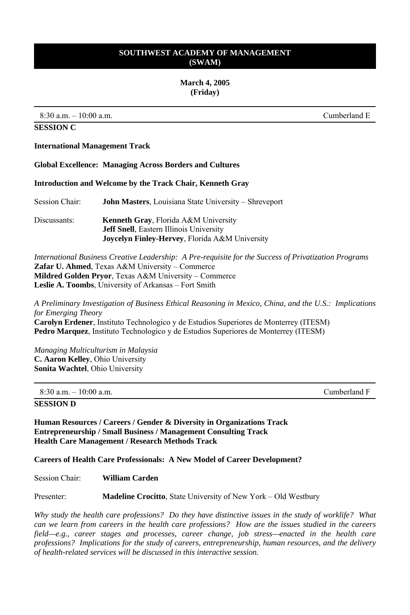### **March 4, 2005 (Friday)**

 $8:30$  a.m.  $-10:00$  a.m.

**SESSION C** 

### **International Management Track**

**Global Excellence: Managing Across Borders and Cultures** 

**Introduction and Welcome by the Track Chair, Kenneth Gray** 

Session Chair: **John Masters**, Louisiana State University – Shreveport

Discussants: **Kenneth Gray**, Florida A&M University **Jeff Snell**, Eastern Illinois University **Joycelyn Finley-Hervey**, Florida A&M University

*International Business Creative Leadership: A Pre-requisite for the Success of Privatization Programs*  **Zafar U. Ahmed**, Texas A&M University – Commerce **Mildred Golden Pryor**, Texas A&M University – Commerce **Leslie A. Toombs**, University of Arkansas – Fort Smith

*A Preliminary Investigation of Business Ethical Reasoning in Mexico, China, and the U.S.: Implications for Emerging Theory* **Carolyn Erdener**, Instituto Technologico y de Estudios Superiores de Monterrey (ITESM) **Pedro Marquez**, Instituto Technologico y de Estudios Superiores de Monterrey (ITESM)

*Managing Multiculturism in Malaysia* **C. Aaron Kelley**, Ohio University **Sonita Wachtel**, Ohio University

### **SESSION D**

**Human Resources / Careers / Gender & Diversity in Organizations Track Entrepreneurship / Small Business / Management Consulting Track Health Care Management / Research Methods Track** 

**Careers of Health Care Professionals: A New Model of Career Development?** 

Session Chair: **William Carden** 

Presenter: **Madeline Crocitto**, State University of New York – Old Westbury

*Why study the health care professions? Do they have distinctive issues in the study of worklife? What can we learn from careers in the health care professions? How are the issues studied in the careers field—e.g., career stages and processes, career change, job stress—enacted in the health care professions? Implications for the study of careers, entrepreneurship, human resources, and the delivery of health-related services will be discussed in this interactive session.* 

Cumberland F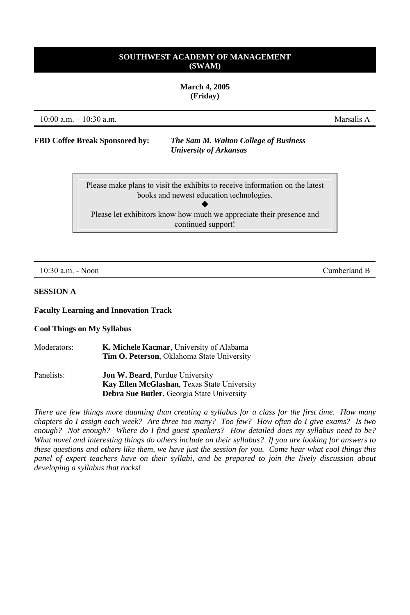**March 4, 2005 (Friday)** 

10:00 a.m. – 10:30 a.m. Marsalis A

**FBD Coffee Break Sponsored by:** *The Sam M. Walton College of Business University of Arkansas*

> Please make plans to visit the exhibits to receive information on the latest books and newest education technologies.  $\blacklozenge$ Please let exhibitors know how much we appreciate their presence and continued support!

### **SESSION A**

#### **Faculty Learning and Innovation Track**

#### **Cool Things on My Syllabus**

| Moderators: | K. Michele Kacmar, University of Alabama<br><b>Tim O. Peterson</b> , Oklahoma State University |
|-------------|------------------------------------------------------------------------------------------------|
| Panelists:  | <b>Jon W. Beard, Purdue University</b>                                                         |
|             | Kay Ellen McGlashan, Texas State University                                                    |
|             | <b>Debra Sue Butler, Georgia State University</b>                                              |

*There are few things more daunting than creating a syllabus for a class for the first time. How many chapters do I assign each week? Are three too many? Too few? How often do I give exams? Is two enough? Not enough? Where do I find guest speakers? How detailed does my syllabus need to be? What novel and interesting things do others include on their syllabus? If you are looking for answers to these questions and others like them, we have just the session for you. Come hear what cool things this panel of expert teachers have on their syllabi, and be prepared to join the lively discussion about developing a syllabus that rocks!* 

10:30 a.m. - Noon Cumberland B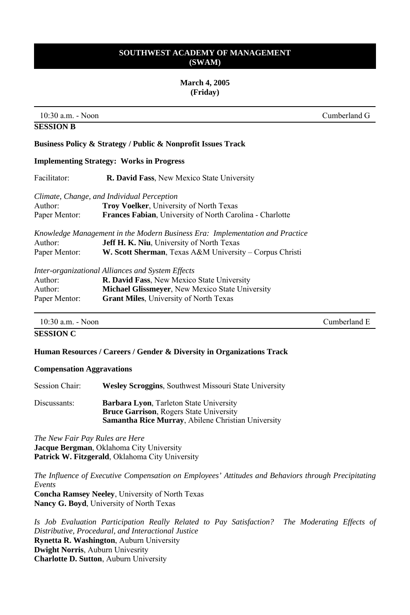### **March 4, 2005 (Friday)**

10:30 a.m. - Noon Cumberland G

**SESSION B** 

Cumberland E

# **Business Policy & Strategy / Public & Nonprofit Issues Track**

### **Implementing Strategy: Works in Progress**

| Facilitator:  | <b>R. David Fass, New Mexico State University</b>                                                                                 |  |
|---------------|-----------------------------------------------------------------------------------------------------------------------------------|--|
|               | Climate, Change, and Individual Perception                                                                                        |  |
| Author:       | <b>Troy Voelker</b> , University of North Texas                                                                                   |  |
| Paper Mentor: | <b>Frances Fabian</b> , University of North Carolina - Charlotte                                                                  |  |
| Author:       | Knowledge Management in the Modern Business Era: Implementation and Practice<br><b>Jeff H. K. Niu</b> , University of North Texas |  |
| Paper Mentor: |                                                                                                                                   |  |
|               | W. Scott Sherman, Texas A&M University – Corpus Christi                                                                           |  |
|               | Inter-organizational Alliances and System Effects                                                                                 |  |
| Author:       | <b>R. David Fass, New Mexico State University</b>                                                                                 |  |
| Author:       | <b>Michael Glissmeyer, New Mexico State University</b>                                                                            |  |
| Paper Mentor: | <b>Grant Miles.</b> University of North Texas                                                                                     |  |

# **SESSION C**

### **Human Resources / Careers / Gender & Diversity in Organizations Track**

#### **Compensation Aggravations**

| Session Chair: | <b>Wesley Scroggins, Southwest Missouri State University</b>                                                                                                  |
|----------------|---------------------------------------------------------------------------------------------------------------------------------------------------------------|
| Discussants:   | <b>Barbara Lyon, Tarleton State University</b><br><b>Bruce Garrison, Rogers State University</b><br><b>Samantha Rice Murray, Abilene Christian University</b> |

*The New Fair Pay Rules are Here*  **Jacque Bergman**, Oklahoma City University **Patrick W. Fitzgerald**, Oklahoma City University

*The Influence of Executive Compensation on Employees' Attitudes and Behaviors through Precipitating Events*

**Concha Ramsey Neeley**, University of North Texas **Nancy G. Boyd**, University of North Texas

*Is Job Evaluation Participation Really Related to Pay Satisfaction? The Moderating Effects of Distributive, Procedural, and Interactional Justice*  **Rynetta R. Washington**, Auburn University **Dwight Norris**, Auburn Univesrity **Charlotte D. Sutton**, Auburn University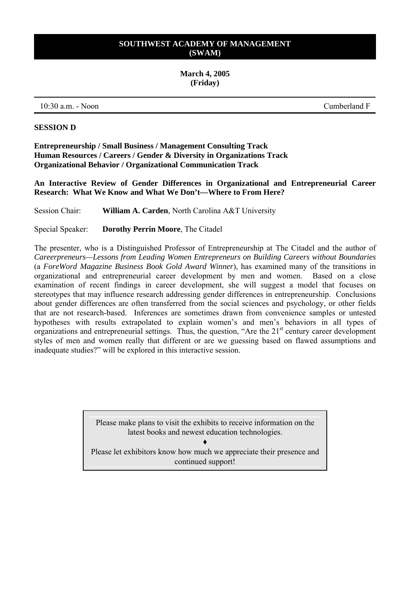# **March 4, 2005 (Friday)**

10:30 a.m. - Noon Cumberland F

### **SESSION D**

**Entrepreneurship / Small Business / Management Consulting Track Human Resources / Careers / Gender & Diversity in Organizations Track Organizational Behavior / Organizational Communication Track** 

**An Interactive Review of Gender Differences in Organizational and Entrepreneurial Career Research: What We Know and What We Don't—Where to From Here?** 

Session Chair: **William A. Carden**, North Carolina A&T University

Special Speaker: **Dorothy Perrin Moore**, The Citadel

The presenter, who is a Distinguished Professor of Entrepreneurship at The Citadel and the author of *Careerpreneurs—Lessons from Leading Women Entrepreneurs on Building Careers without Boundaries* (a *ForeWord Magazine Business Book Gold Award Winner*), has examined many of the transitions in organizational and entrepreneurial career development by men and women. Based on a close examination of recent findings in career development, she will suggest a model that focuses on stereotypes that may influence research addressing gender differences in entrepreneurship. Conclusions about gender differences are often transferred from the social sciences and psychology, or other fields that are not research-based. Inferences are sometimes drawn from convenience samples or untested hypotheses with results extrapolated to explain women's and men's behaviors in all types of organizations and entrepreneurial settings. Thus, the question, "Are the  $21<sup>st</sup>$  century career development styles of men and women really that different or are we guessing based on flawed assumptions and inadequate studies?" will be explored in this interactive session.

> Please make plans to visit the exhibits to receive information on the latest books and newest education technologies.

♦ Please let exhibitors know how much we appreciate their presence and continued support!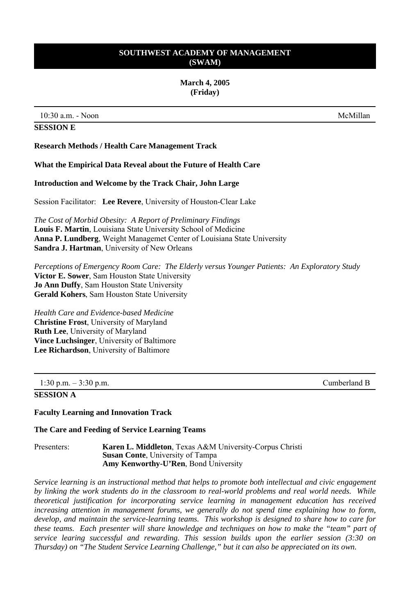### **March 4, 2005 (Friday)**

10:30 a.m. - Noon McMillan

### **SESSION E**

**Research Methods / Health Care Management Track** 

#### **What the Empirical Data Reveal about the Future of Health Care**

#### **Introduction and Welcome by the Track Chair, John Large**

Session Facilitator: **Lee Revere**, University of Houston-Clear Lake

*The Cost of Morbid Obesity: A Report of Preliminary Findings* **Louis F. Martin**, Louisiana State University School of Medicine **Anna P. Lundberg**, Weight Managemet Center of Louisiana State University **Sandra J. Hartman**, University of New Orleans

*Perceptions of Emergency Room Care: The Elderly versus Younger Patients: An Exploratory Study* **Victor E. Sower**, Sam Houston State University **Jo Ann Duffy**, Sam Houston State University **Gerald Kohers**, Sam Houston State University

*Health Care and Evidence-based Medicine*  **Christine Frost**, University of Maryland **Ruth Lee**, University of Maryland **Vince Luchsinger**, University of Baltimore **Lee Richardson**, University of Baltimore

| 1:30 p.m. $-3:30$ p.m. | Cumberland B |
|------------------------|--------------|
| SESSION A              |              |

#### **Faculty Learning and Innovation Track**

#### **The Care and Feeding of Service Learning Teams**

Presenters: **Karen L. Middleton**, Texas A&M University-Corpus Christi **Susan Conte**, University of Tampa **Amy Kenworthy-U'Ren**, Bond University

*Service learning is an instructional method that helps to promote both intellectual and civic engagement by linking the work students do in the classroom to real-world problems and real world needs. While theoretical justification for incorporating service learning in management education has received*  increasing attention in management forums, we generally do not spend time explaining how to form, *develop, and maintain the service-learning teams. This workshop is designed to share how to care for these teams. Each presenter will share knowledge and techniques on how to make the "team" part of service learing successful and rewarding. This session builds upon the earlier session (3:30 on Thursday) on "The Student Service Learning Challenge," but it can also be appreciated on its own.*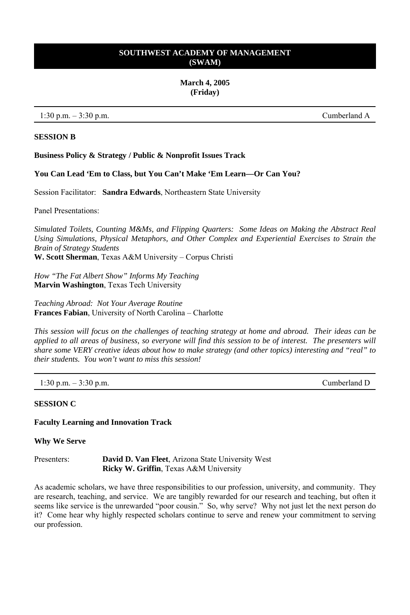### **March 4, 2005 (Friday)**

 $1:30 \text{ p.m.} - 3:30 \text{ p.m.}$  Cumberland A

### **SESSION B**

### **Business Policy & Strategy / Public & Nonprofit Issues Track**

**You Can Lead 'Em to Class, but You Can't Make 'Em Learn—Or Can You?** 

Session Facilitator: **Sandra Edwards**, Northeastern State University

Panel Presentations:

*Simulated Toilets, Counting M&Ms, and Flipping Quarters: Some Ideas on Making the Abstract Real Using Simulations, Physical Metaphors, and Other Complex and Experiential Exercises to Strain the Brain of Strategy Students* 

**W. Scott Sherman**, Texas A&M University – Corpus Christi

*How "The Fat Albert Show" Informs My Teaching*  **Marvin Washington**, Texas Tech University

*Teaching Abroad: Not Your Average Routine* **Frances Fabian**, University of North Carolina – Charlotte

*This session will focus on the challenges of teaching strategy at home and abroad. Their ideas can be applied to all areas of business, so everyone will find this session to be of interest. The presenters will share some VERY creative ideas about how to make strategy (and other topics) interesting and "real" to their students. You won't want to miss this session!* 

1:30 p.m. – 3:30 p.m. Cumberland D

### **SESSION C**

### **Faculty Learning and Innovation Track**

**Why We Serve** 

Presenters: **David D. Van Fleet**, Arizona State University West **Ricky W. Griffin**, Texas A&M University

As academic scholars, we have three responsibilities to our profession, university, and community. They are research, teaching, and service. We are tangibly rewarded for our research and teaching, but often it seems like service is the unrewarded "poor cousin." So, why serve? Why not just let the next person do it? Come hear why highly respected scholars continue to serve and renew your commitment to serving our profession.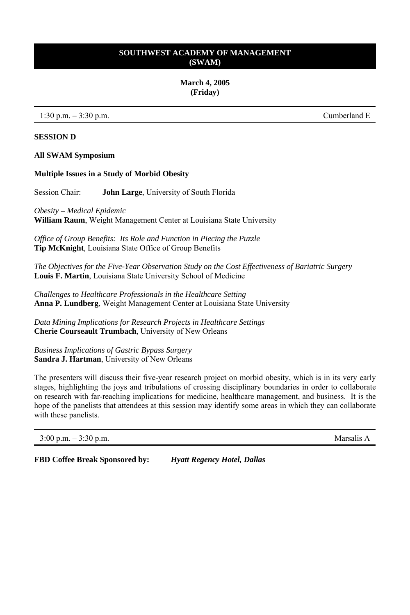**March 4, 2005 (Friday)** 

 $1:30 \text{ p.m.} - 3:30 \text{ p.m.}$  Cumberland E

### **SESSION D**

#### **All SWAM Symposium**

#### **Multiple Issues in a Study of Morbid Obesity**

Session Chair: **John Large**, University of South Florida

*Obesity – Medical Epidemic*  **William Raum**, Weight Management Center at Louisiana State University

*Office of Group Benefits: Its Role and Function in Piecing the Puzzle* **Tip McKnight**, Louisiana State Office of Group Benefits

*The Objectives for the Five-Year Observation Study on the Cost Effectiveness of Bariatric Surgery* **Louis F. Martin**, Louisiana State University School of Medicine

*Challenges to Healthcare Professionals in the Healthcare Setting*  **Anna P. Lundberg**, Weight Management Center at Louisiana State University

*Data Mining Implications for Research Projects in Healthcare Settings*  **Cherie Courseault Trumbach**, University of New Orleans

*Business Implications of Gastric Bypass Surgery*  **Sandra J. Hartman**, University of New Orleans

The presenters will discuss their five-year research project on morbid obesity, which is in its very early stages, highlighting the joys and tribulations of crossing disciplinary boundaries in order to collaborate on research with far-reaching implications for medicine, healthcare management, and business. It is the hope of the panelists that attendees at this session may identify some areas in which they can collaborate with these panelists.

3:00 p.m. – 3:30 p.m. Marsalis A

**FBD Coffee Break Sponsored by:** *Hyatt Regency Hotel, Dallas*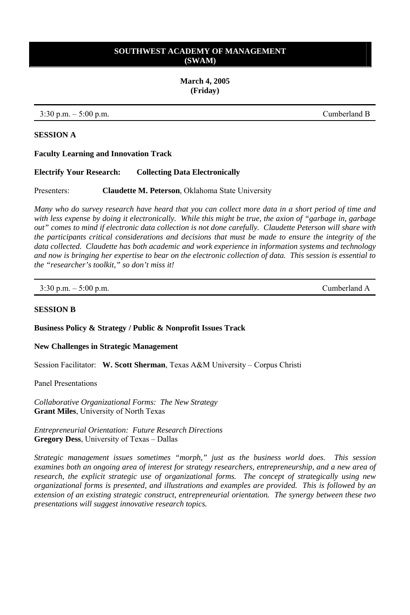**March 4, 2005 (Friday)**

3:30 p.m. – 5:00 p.m. Cumberland B

### **SESSION A**

### **Faculty Learning and Innovation Track**

**Electrify Your Research: Collecting Data Electronically**

Presenters: **Claudette M. Peterson**, Oklahoma State University

*Many who do survey research have heard that you can collect more data in a short period of time and with less expense by doing it electronically. While this might be true, the axion of "garbage in, garbage out" comes to mind if electronic data collection is not done carefully. Claudette Peterson will share with the participants critical considerations and decisions that must be made to ensure the integrity of the data collected. Claudette has both academic and work experience in information systems and technology and now is bringing her expertise to bear on the electronic collection of data. This session is essential to the "researcher's toolkit," so don't miss it!* 

| $3:30$ p.m. $-5:00$ p.m. | Cumberland A |
|--------------------------|--------------|
|                          |              |

### **SESSION B**

**Business Policy & Strategy / Public & Nonprofit Issues Track** 

### **New Challenges in Strategic Management**

Session Facilitator: **W. Scott Sherman**, Texas A&M University – Corpus Christi

Panel Presentations

*Collaborative Organizational Forms: The New Strategy*  **Grant Miles**, University of North Texas

*Entrepreneurial Orientation: Future Research Directions* **Gregory Dess**, University of Texas – Dallas

*Strategic management issues sometimes "morph," just as the business world does. This session examines both an ongoing area of interest for strategy researchers, entrepreneurship, and a new area of research, the explicit strategic use of organizational forms. The concept of strategically using new organizational forms is presented, and illustrations and examples are provided. This is followed by an extension of an existing strategic construct, entrepreneurial orientation. The synergy between these two presentations will suggest innovative research topics.*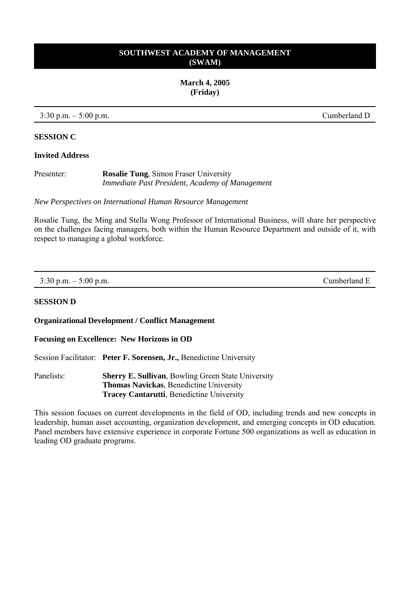**March 4, 2005 (Friday)** 

3:30 p.m. – 5:00 p.m. Cumberland D

### **SESSION C**

### **Invited Address**

Presenter: **Rosalie Tung**, Simon Fraser University *Immediate Past President, Academy of Management* 

*New Perspectives on International Human Resource Management*

Rosalie Tung, the Ming and Stella Wong Professor of International Business, will share her perspective on the challenges facing managers, both within the Human Resource Department and outside of it, with respect to managing a global workforce.

| $3:30$ p.m. $-5:00$ p.m. | Cumberland E |
|--------------------------|--------------|
|                          |              |

### **SESSION D**

**Organizational Development / Conflict Management** 

**Focusing on Excellence: New Horizons in OD** 

Session Facilitator: **Peter F. Sorensen, Jr.,** Benedictine University

Panelists: **Sherry E. Sullivan**, Bowling Green State University **Thomas Navickas**, Benedictine University **Tracey Cantarutti**, Benedictine University

This session focuses on current developments in the field of OD, including trends and new concepts in leadership, human asset accounting, organization development, and emerging concepts in OD education. Panel members have extensive experience in corporate Fortune 500 organizations as well as education in leading OD graduate programs.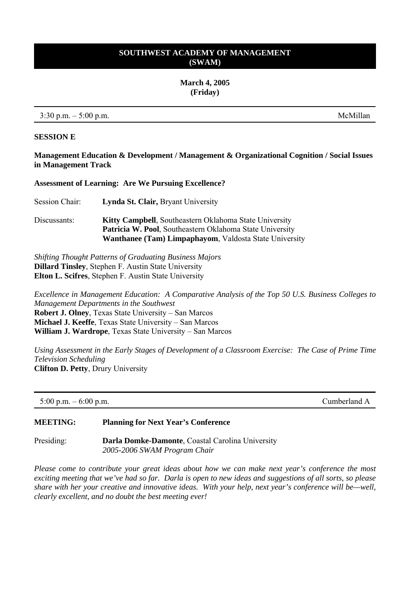**March 4, 2005 (Friday)** 

 $3:30 \text{ p.m.} - 5:00 \text{ p.m.}$  McMillan

### **SESSION E**

### **Management Education & Development / Management & Organizational Cognition / Social Issues in Management Track**

**Assessment of Learning: Are We Pursuing Excellence?** 

Session Chair: **Lynda St. Clair,** Bryant University

Discussants: **Kitty Campbell**, Southeastern Oklahoma State University **Patricia W. Pool**, Southeastern Oklahoma State University **Wanthanee (Tam) Limpaphayom**, Valdosta State University

*Shifting Thought Patterns of Graduating Business Majors* **Dillard Tinsley**, Stephen F. Austin State University **Elton L. Scifres**, Stephen F. Austin State University

*Excellence in Management Education: A Comparative Analysis of the Top 50 U.S. Business Colleges to Management Departments in the Southwest*  **Robert J. Olney**, Texas State University – San Marcos **Michael J. Keeffe**, Texas State University – San Marcos **William J. Wardrope**, Texas State University – San Marcos

*Using Assessment in the Early Stages of Development of a Classroom Exercise: The Case of Prime Time Television Scheduling*  **Clifton D. Petty**, Drury University

| 5:00 p.m. $-6:00$ p.m. | Cumberland A |
|------------------------|--------------|
|------------------------|--------------|

### **MEETING: Planning for Next Year's Conference**

Presiding: **Darla Domke-Damonte**, Coastal Carolina University *2005-2006 SWAM Program Chair*

*Please come to contribute your great ideas about how we can make next year's conference the most exciting meeting that we've had so far. Darla is open to new ideas and suggestions of all sorts, so please share with her your creative and innovative ideas. With your help, next year's conference will be—well, clearly excellent, and no doubt the best meeting ever!*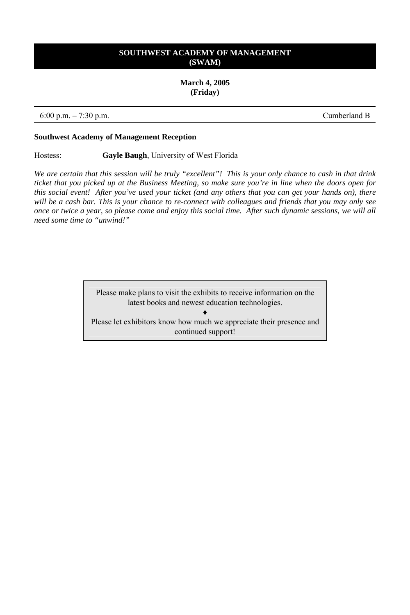### **March 4, 2005 (Friday)**

6:00 p.m. – 7:30 p.m. Cumberland B

### **Southwest Academy of Management Reception**

Hostess: **Gayle Baugh**, University of West Florida

*We are certain that this session will be truly "excellent"! This is your only chance to cash in that drink ticket that you picked up at the Business Meeting, so make sure you're in line when the doors open for this social event! After you've used your ticket (and any others that you can get your hands on), there will be a cash bar. This is your chance to re-connect with colleagues and friends that you may only see once or twice a year, so please come and enjoy this social time. After such dynamic sessions, we will all need some time to "unwind!"* 

> Please make plans to visit the exhibits to receive information on the latest books and newest education technologies.

♦ Please let exhibitors know how much we appreciate their presence and continued support!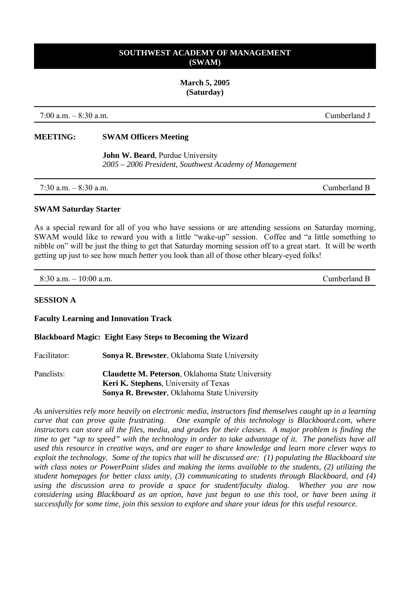**March 5, 2005 (Saturday)** 

7:00 a.m. – 8:30 a.m. Cumberland J

### **MEETING: SWAM Officers Meeting**

 **John W. Beard**, Purdue University *2005 – 2006 President, Southwest Academy of Management* 

7:30 a.m. – 8:30 a.m. Cumberland B

#### **SWAM Saturday Starter**

As a special reward for all of you who have sessions or are attending sessions on Saturday morning, SWAM would like to reward you with a little "wake-up" session. Coffee and "a little something to nibble on" will be just the thing to get that Saturday morning session off to a great start. It will be worth getting up just to see how much *better* you look than all of those other bleary-eyed folks!

 $8:30$  a.m.  $-10:00$  a.m.

### **SESSION A**

### **Faculty Learning and Innovation Track**

#### **Blackboard Magic: Eight Easy Steps to Becoming the Wizard**

Facilitator: **Sonya R. Brewster**, Oklahoma State University

Panelists: **Claudette M. Peterson**, Oklahoma State University **Keri K. Stephens**, University of Texas **Sonya R. Brewster**, Oklahoma State University

*As universities rely more heavily on electronic media, instructors find themselves caught up in a learning curve that can prove quite frustrating. One example of this technology is Blackboard.com, where instructors can store all the files, media, and grades for their classes. A major problem is finding the time to get "up to speed" with the technology in order to take advantage of it. The panelists have all used this resource in creative ways, and are eager to share knowledge and learn more clever ways to exploit the technology. Some of the topics that will be discussed are: (1) populating the Blackboard site with class notes or PowerPoint slides and making the items available to the students, (2) utilizing the student homepages for better class unity, (3) communicating to students through Blackboard, and (4) using the discussion area to provide a space for student/faculty dialog. Whether you are now considering using Blackboard as an option, have just begun to use this tool, or have been using it successfully for some time, join this session to explore and share your ideas for this useful resource.*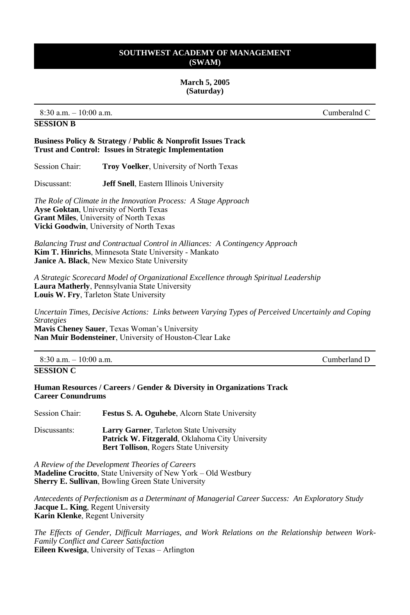#### **March 5, 2005 (Saturday)**

8:30 a.m. – 10:00 a.m. Cumberalnd C

### **SESSION B**

### **Business Policy & Strategy / Public & Nonprofit Issues Track Trust and Control: Issues in Strategic Implementation**

Session Chair: **Troy Voelker**, University of North Texas

Discussant: **Jeff Snell**, Eastern Illinois University

*The Role of Climate in the Innovation Process: A Stage Approach*  **Ayse Goktan**, University of North Texas **Grant Miles**, University of North Texas **Vicki Goodwin**, University of North Texas

*Balancing Trust and Contractual Control in Alliances: A Contingency Approach*  **Kim T. Hinrichs**, Minnesota State University - Mankato **Janice A. Black**, New Mexico State University

*A Strategic Scorecard Model of Organizational Excellence through Spiritual Leadership*  **Laura Matherly**, Pennsylvania State University **Louis W. Fry**, Tarleton State University

*Uncertain Times, Decisive Actions: Links between Varying Types of Perceived Uncertainly and Coping Strategies*

**Mavis Cheney Sauer**, Texas Woman's University **Nan Muir Bodensteiner**, University of Houston-Clear Lake

| $8:30$ a.m. $-10:00$ a.m |  |  |
|--------------------------|--|--|
|--------------------------|--|--|

### **SESSION C**

**Human Resources / Careers / Gender & Diversity in Organizations Track Career Conundrums** 

| Session Chair: | <b>Festus S. A. Oguhebe, Alcorn State University</b>                                                     |
|----------------|----------------------------------------------------------------------------------------------------------|
| Discussants:   | <b>Larry Garner, Tarleton State University</b><br><b>Patrick W. Fitzgerald.</b> Oklahoma City University |

**Bert Tollison**, Rogers State University

*A Review of the Development Theories of Careers*  **Madeline Crocitto**, State University of New York – Old Westbury **Sherry E. Sullivan**, Bowling Green State University

*Antecedents of Perfectionism as a Determinant of Managerial Career Success: An Exploratory Study*  **Jacque L. King**, Regent University **Karin Klenke**, Regent University

*The Effects of Gender, Difficult Marriages, and Work Relations on the Relationship between Work-Family Conflict and Career Satisfaction* **Eileen Kwesiga**, University of Texas – Arlington

1. Cumberland D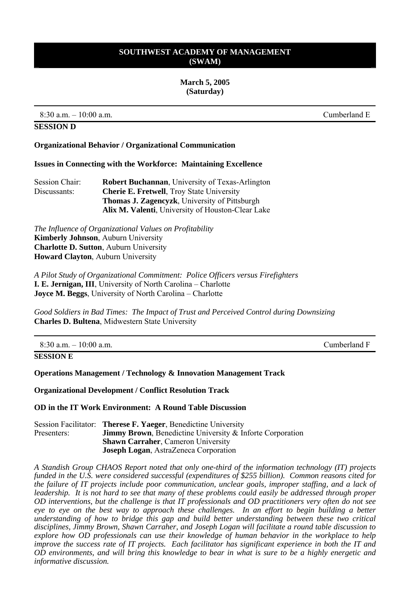#### **March 5, 2005 (Saturday)**

 $8:30$  a.m.  $-10:00$  a.m.

### **SESSION D**

#### **Organizational Behavior / Organizational Communication**

#### **Issues in Connecting with the Workforce: Maintaining Excellence**

| Session Chair: | <b>Robert Buchannan.</b> University of Texas-Arlington |  |
|----------------|--------------------------------------------------------|--|
| Discussants:   | <b>Cherie E. Fretwell</b> , Troy State University      |  |
|                | <b>Thomas J. Zagencyzk</b> , University of Pittsburgh  |  |
|                | Alix M. Valenti, University of Houston-Clear Lake      |  |

*The Influence of Organizational Values on Profitability*  **Kimberly Johnson**, Auburn University **Charlotte D. Sutton**, Auburn University **Howard Clayton**, Auburn University

*A Pilot Study of Organizational Commitment: Police Officers versus Firefighters*  **I. E. Jernigan, III**, University of North Carolina – Charlotte **Joyce M. Beggs**, University of North Carolina – Charlotte

*Good Soldiers in Bad Times: The Impact of Trust and Perceived Control during Downsizing*  **Charles D. Bultena**, Midwestern State University

| $8:30$ a.m. $-10:00$ a.m. | Cumberland F |
|---------------------------|--------------|
| <b>SESSION E</b>          |              |

### **Operations Management / Technology & Innovation Management Track**

### **Organizational Development / Conflict Resolution Track**

**OD in the IT Work Environment: A Round Table Discussion** 

|             | Session Facilitator: Therese F. Yaeger, Benedictine University    |  |
|-------------|-------------------------------------------------------------------|--|
| Presenters: | <b>Jimmy Brown</b> , Benedictine University & Inforte Corporation |  |
|             | <b>Shawn Carraher, Cameron University</b>                         |  |
|             | <b>Joseph Logan, AstraZeneca Corporation</b>                      |  |

*A Standish Group CHAOS Report noted that only one-third of the information technology (IT) projects funded in the U.S. were considered successful (expenditures of \$255 billion). Common reasons cited for the failure of IT projects include poor communication, unclear goals, improper staffing, and a lack of leadership. It is not hard to see that many of these problems could easily be addressed through proper OD interventions, but the challenge is that IT professionals and OD practitioners very often do not see eye to eye on the best way to approach these challenges. In an effort to begin building a better understanding of how to bridge this gap and build better understanding between these two critical disciplines, Jimmy Brown, Shawn Carraher, and Joseph Logan will facilitate a round table discussion to explore how OD professionals can use their knowledge of human behavior in the workplace to help improve the success rate of IT projects. Each facilitator has significant experience in both the IT and OD environments, and will bring this knowledge to bear in what is sure to be a highly energetic and informative discussion.*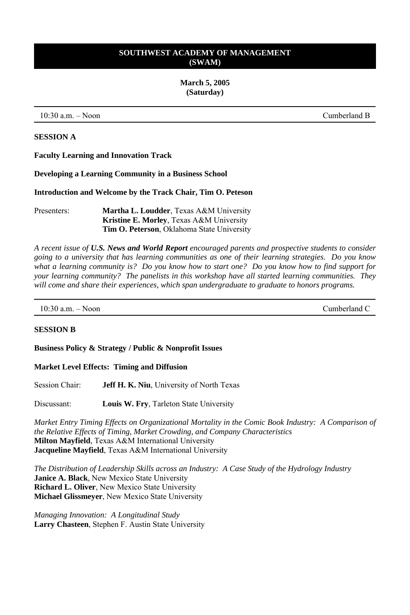**March 5, 2005 (Saturday)** 

10:30 a.m. – Noon Cumberland B

### **SESSION A**

**Faculty Learning and Innovation Track** 

**Developing a Learning Community in a Business School**

**Introduction and Welcome by the Track Chair, Tim O. Peteson**

Presenters: **Martha L. Loudder**, Texas A&M University **Kristine E. Morley**, Texas A&M University **Tim O. Peterson**, Oklahoma State University

*A recent issue of U.S. News and World Report encouraged parents and prospective students to consider going to a university that has learning communities as one of their learning strategies. Do you know what a learning community is? Do you know how to start one? Do you know how to find support for your learning community? The panelists in this workshop have all started learning communities. They will come and share their experiences, which span undergraduate to graduate to honors programs.*

10:30 a.m. – Noon Cumberland C

### **SESSION B**

**Business Policy & Strategy / Public & Nonprofit Issues** 

### **Market Level Effects: Timing and Diffusion**

Session Chair: **Jeff H. K. Niu**, University of North Texas

Discussant: **Louis W. Fry**, Tarleton State University

*Market Entry Timing Effects on Organizational Mortality in the Comic Book Industry: A Comparison of the Relative Effects of Timing, Market Crowding, and Company Characteristics*  **Milton Mayfield**, Texas A&M International University **Jacqueline Mayfield**, Texas A&M International University

*The Distribution of Leadership Skills across an Industry: A Case Study of the Hydrology Industry*  **Janice A. Black**, New Mexico State University **Richard L. Oliver**, New Mexico State University **Michael Glissmeyer**, New Mexico State University

*Managing Innovation: A Longitudinal Study*  **Larry Chasteen**, Stephen F. Austin State University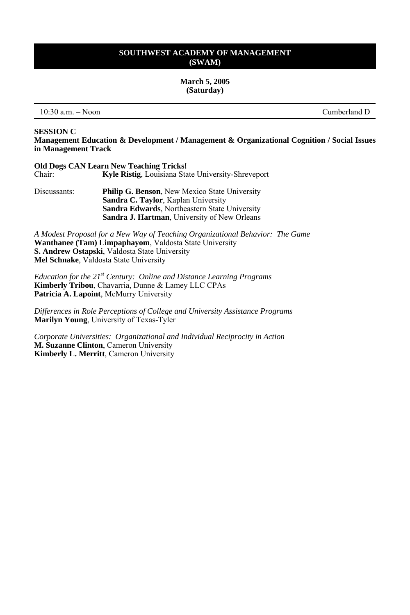**March 5, 2005 (Saturday)** 

10:30 a.m. – Noon Cumberland D

#### **SESSION C**

**Management Education & Development / Management & Organizational Cognition / Social Issues in Management Track** 

|        | <b>Old Dogs CAN Learn New Teaching Tricks!</b>            |
|--------|-----------------------------------------------------------|
| Chair: | <b>Kyle Ristig, Louisiana State University-Shreveport</b> |

Discussants: **Philip G. Benson**, New Mexico State University **Sandra C. Taylor**, Kaplan University **Sandra Edwards**, Northeastern State University **Sandra J. Hartman**, University of New Orleans

*A Modest Proposal for a New Way of Teaching Organizational Behavior: The Game* **Wanthanee (Tam) Limpaphayom**, Valdosta State University **S. Andrew Ostapski**, Valdosta State University **Mel Schnake**, Valdosta State University

*Education for the 21st Century: Online and Distance Learning Programs* **Kimberly Tribou**, Chavarria, Dunne & Lamey LLC CPAs **Patricia A. Lapoint**, McMurry University

*Differences in Role Perceptions of College and University Assistance Programs* **Marilyn Young**, University of Texas-Tyler

*Corporate Universities: Organizational and Individual Reciprocity in Action* **M. Suzanne Clinton**, Cameron University **Kimberly L. Merritt**, Cameron University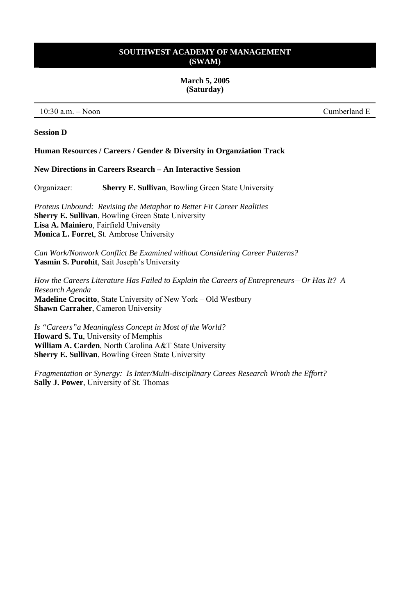#### **March 5, 2005 (Saturday)**

10:30 a.m. – Noon Cumberland E

### **Session D**

#### **Human Resources / Careers / Gender & Diversity in Organziation Track**

# **New Directions in Careers Rsearch – An Interactive Session**

Organizaer: **Sherry E. Sullivan**, Bowling Green State University

*Proteus Unbound: Revising the Metaphor to Better Fit Career Realities* **Sherry E. Sullivan**, Bowling Green State University **Lisa A. Mainiero**, Fairfield University **Monica L. Forret**, St. Ambrose University

*Can Work/Nonwork Conflict Be Examined without Considering Career Patterns?* **Yasmin S. Purohit**, Sait Joseph's University

*How the Careers Literature Has Failed to Explain the Careers of Entrepreneurs—Or Has It? A Research Agenda* **Madeline Crocitto**, State University of New York – Old Westbury **Shawn Carraher**, Cameron University

*Is "Careers"a Meaningless Concept in Most of the World?* **Howard S. Tu**, University of Memphis **William A. Carden**, North Carolina A&T State University **Sherry E. Sullivan**, Bowling Green State University

*Fragmentation or Synergy: Is Inter/Multi-disciplinary Carees Research Wroth the Effort?* **Sally J. Power**, University of St. Thomas